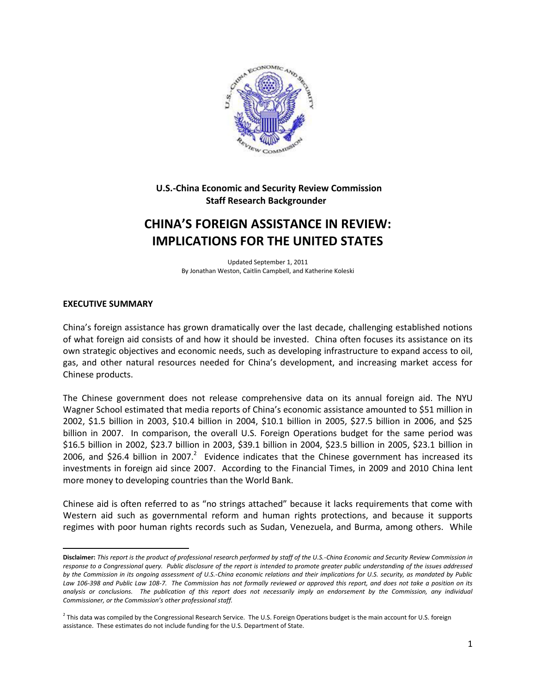

## **U.S.-China Economic and Security Review Commission Staff Research Backgrounder**

# **CHINA'S FOREIGN ASSISTANCE IN REVIEW: IMPLICATIONS FOR THE UNITED STATES**

Updated September 1, 2011 By Jonathan Weston, Caitlin Campbell, and Katherine Koleski

## **EXECUTIVE SUMMARY**

 $\overline{a}$ 

China's foreign assistance has grown dramatically over the last decade, challenging established notions of what foreign aid consists of and how it should be invested. China often focuses its assistance on its own strategic objectives and economic needs, such as developing infrastructure to expand access to oil, gas, and other natural resources needed for China's development, and increasing market access for Chinese products.

The Chinese government does not release comprehensive data on its annual foreign aid. The NYU Wagner School estimated that media reports of China's economic assistance amounted to \$51 million in 2002, \$1.5 billion in 2003, \$10.4 billion in 2004, \$10.1 billion in 2005, \$27.5 billion in 2006, and \$25 billion in 2007. In comparison, the overall U.S. Foreign Operations budget for the same period was \$16.5 billion in 2002, \$23.7 billion in 2003, \$39.1 billion in 2004, \$23.5 billion in 2005, \$23.1 billion in 2006, and \$26.4 billion in 2007.<sup>2</sup> Evidence indicates that the Chinese government has increased its investments in foreign aid since 2007. According to the Financial Times, in 2009 and 2010 China lent more money to developing countries than the World Bank.

Chinese aid is often referred to as "no strings attached" because it lacks requirements that come with Western aid such as governmental reform and human rights protections, and because it supports regimes with poor human rights records such as Sudan, Venezuela, and Burma, among others. While

**Disclaimer:** *This report is the product of professional research performed by staff of the U.S.-China Economic and Security Review Commission in response to a Congressional query. Public disclosure of the report is intended to promote greater public understanding of the issues addressed by the Commission in its ongoing assessment of U.S.-China economic relations and their implications for U.S. security, as mandated by Public Law 106-398 and Public Law 108-7. The Commission has not formally reviewed or approved this report, and does not take a position on its analysis or conclusions. The publication of this report does not necessarily imply an endorsement by the Commission, any individual Commissioner, or the Commission's other professional staff.*

<sup>&</sup>lt;sup>2</sup> This data was compiled by the Congressional Research Service. The U.S. Foreign Operations budget is the main account for U.S. foreign assistance. These estimates do not include funding for the U.S. Department of State.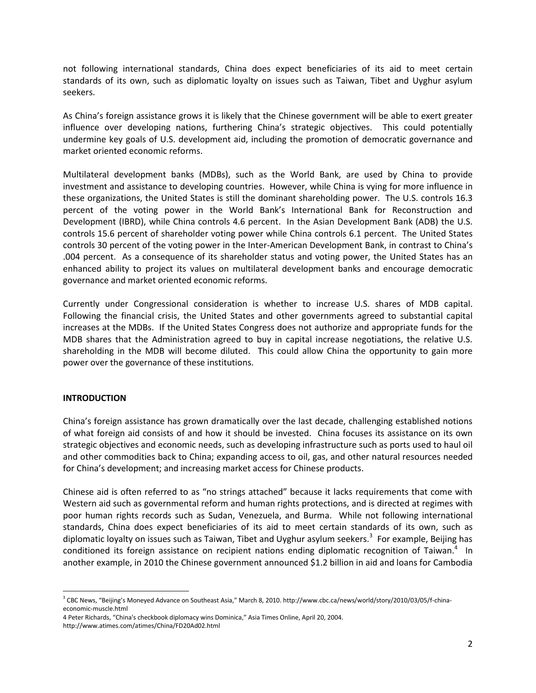not following international standards, China does expect beneficiaries of its aid to meet certain standards of its own, such as diplomatic loyalty on issues such as Taiwan, Tibet and Uyghur asylum seekers.

As China's foreign assistance grows it is likely that the Chinese government will be able to exert greater influence over developing nations, furthering China's strategic objectives. This could potentially undermine key goals of U.S. development aid, including the promotion of democratic governance and market oriented economic reforms.

Multilateral development banks (MDBs), such as the World Bank, are used by China to provide investment and assistance to developing countries. However, while China is vying for more influence in these organizations, the United States is still the dominant shareholding power. The U.S. controls 16.3 percent of the voting power in the World Bank's International Bank for Reconstruction and Development (IBRD), while China controls 4.6 percent. In the Asian Development Bank (ADB) the U.S. controls 15.6 percent of shareholder voting power while China controls 6.1 percent. The United States controls 30 percent of the voting power in the Inter-American Development Bank, in contrast to China's .004 percent. As a consequence of its shareholder status and voting power, the United States has an enhanced ability to project its values on multilateral development banks and encourage democratic governance and market oriented economic reforms.

Currently under Congressional consideration is whether to increase U.S. shares of MDB capital. Following the financial crisis, the United States and other governments agreed to substantial capital increases at the MDBs. If the United States Congress does not authorize and appropriate funds for the MDB shares that the Administration agreed to buy in capital increase negotiations, the relative U.S. shareholding in the MDB will become diluted. This could allow China the opportunity to gain more power over the governance of these institutions.

## **INTRODUCTION**

l

China's foreign assistance has grown dramatically over the last decade, challenging established notions of what foreign aid consists of and how it should be invested. China focuses its assistance on its own strategic objectives and economic needs, such as developing infrastructure such as ports used to haul oil and other commodities back to China; expanding access to oil, gas, and other natural resources needed for China's development; and increasing market access for Chinese products.

Chinese aid is often referred to as "no strings attached" because it lacks requirements that come with Western aid such as governmental reform and human rights protections, and is directed at regimes with poor human rights records such as Sudan, Venezuela, and Burma. While not following international standards, China does expect beneficiaries of its aid to meet certain standards of its own, such as diplomatic loyalty on issues such as Taiwan, Tibet and Uyghur asylum seekers.<sup>3</sup> For example, Beijing has conditioned its foreign assistance on recipient nations ending diplomatic recognition of Taiwan.<sup>4</sup> In another example, in 2010 the Chinese government announced \$1.2 billion in aid and loans for Cambodia

<sup>3</sup> CBC News, "Beijing's Moneyed Advance on Southeast Asia," March 8, 2010. http://www.cbc.ca/news/world/story/2010/03/05/f-chinaeconomic-muscle.html

<sup>4</sup> Peter Richards, "China's checkbook diplomacy wins Dominica," Asia Times Online, April 20, 2004. <http://www.atimes.com/atimes/China/FD20Ad02.html>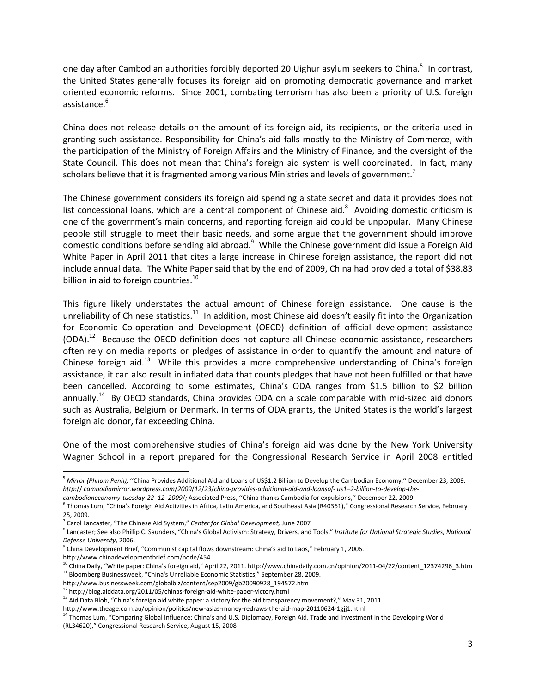one day after Cambodian authorities forcibly deported 20 Uighur asylum seekers to China.<sup>5</sup> In contrast, the United States generally focuses its foreign aid on promoting democratic governance and market oriented economic reforms. Since 2001, combating terrorism has also been a priority of U.S. foreign assistance.<sup>6</sup>

China does not release details on the amount of its foreign aid, its recipients, or the criteria used in granting such assistance. Responsibility for China's aid falls mostly to the Ministry of Commerce, with the participation of the Ministry of Foreign Affairs and the Ministry of Finance, and the oversight of the State Council. This does not mean that China's foreign aid system is well coordinated. In fact, many scholars believe that it is fragmented among various Ministries and levels of government.<sup>7</sup>

The Chinese government considers its foreign aid spending a state secret and data it provides does not list concessional loans, which are a central component of Chinese aid. $8$  Avoiding domestic criticism is one of the government's main concerns, and reporting foreign aid could be unpopular. Many Chinese people still struggle to meet their basic needs, and some argue that the government should improve domestic conditions before sending aid abroad.<sup>9</sup> While the Chinese government did issue a Foreign Aid White Paper in April 2011 that cites a large increase in Chinese foreign assistance, the report did not include annual data. The White Paper said that by the end of 2009, China had provided a total of \$38.83 billion in aid to foreign countries.<sup>10</sup>

This figure likely understates the actual amount of Chinese foreign assistance. One cause is the unreliability of Chinese statistics.<sup>11</sup> In addition, most Chinese aid doesn't easily fit into the Organization for Economic Co-operation and Development (OECD) definition of official development assistance (ODA).<sup>12</sup> Because the OECD definition does not capture all Chinese economic assistance, researchers often rely on media reports or pledges of assistance in order to quantify the amount and nature of Chinese foreign aid.<sup>13</sup> While this provides a more comprehensive understanding of China's foreign assistance, it can also result in inflated data that counts pledges that have not been fulfilled or that have been cancelled. According to some estimates, China's ODA ranges from \$1.5 billion to \$2 billion annually.<sup>14</sup> By OECD standards, China provides ODA on a scale comparable with mid-sized aid donors such as Australia, Belgium or Denmark. In terms of ODA grants, the United States is the world's largest foreign aid donor, far exceeding China.

One of the most comprehensive studies of China's foreign aid was done by the New York University Wagner School in a report prepared for the Congressional Research Service in April 2008 entitled

http://www.chinadevelopmentbrief.com/node/454

l

<sup>5</sup> *Mirror (Phnom Penh),* ''China Provides Additional Aid and Loans of US\$1.2 Billion to Develop the Cambodian Economy,'' December 23, 2009. *http:*// *cambodiamirror.wordpress.com*/*2009*/*12*/*23*/*china-provides-additional-aid-and-loansof- us1–2-billion-to-develop-the-*

*cambodianeconomy-tuesday-22–12–2009*/*;* Associated Press, ''China thanks Cambodia for expulsions,'' December 22, 2009.

<sup>&</sup>lt;sup>6</sup> Thomas Lum, "China's Foreign Aid Activities in Africa, Latin America, and Southeast Asia (R40361)," Congressional Research Service, February 25, 2009.

<sup>7</sup> Carol Lancaster, "The Chinese Aid System," *Center for Global Development,* June 2007

<sup>&</sup>lt;sup>8</sup> Lancaster; See also Phillip C. Saunders, "China's Global Activism: Strategy, Drivers, and Tools," *Institute for National Strategic Studies, National Defense University*, 2006.

<sup>9</sup> China Development Brief, "Communist capital flows downstream: China's aid to Laos," February 1, 2006.

 $10$  China Daily, "White paper: China's foreign aid," April 22, 2011. http://www.chinadaily.com.cn/opinion/2011-04/22/content\_12374296\_3.htm  $11$  Bloomberg Businessweek, "China's Unreliable Economic Statistics," September 28, 2009.

http://www.businessweek.com/globalbiz/content/sep2009/gb20090928\_194572.htm

<sup>12</sup> http://blog.aiddata.org/2011/05/chinas-foreign-aid-white-paper-victory.html

<sup>&</sup>lt;sup>13</sup> Aid Data Blob, "China's foreign aid white paper: a victory for the aid transparency movement?," May 31, 2011.

http://www.theage.com.au/opinion/politics/new-asias-money-redraws-the-aid-map-20110624-1gjj1.html

<sup>&</sup>lt;sup>14</sup> Thomas Lum, "Comparing Global Influence: China's and U.S. Diplomacy, Foreign Aid, Trade and Investment in the Developing World (RL34620)," Congressional Research Service, August 15, 2008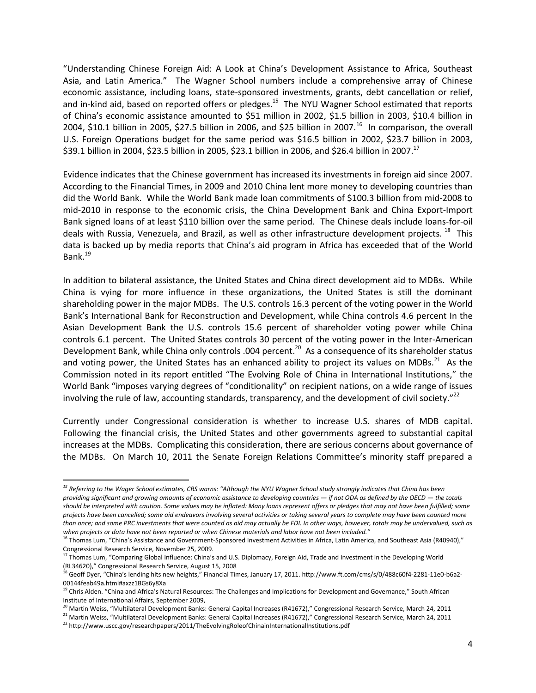"Understanding Chinese Foreign Aid: A Look at China's Development Assistance to Africa, Southeast Asia, and Latin America." The Wagner School numbers include a comprehensive array of Chinese economic assistance, including loans, state-sponsored investments, grants, debt cancellation or relief, and in-kind aid, based on reported offers or pledges.<sup>15</sup> The NYU Wagner School estimated that reports of China's economic assistance amounted to \$51 million in 2002, \$1.5 billion in 2003, \$10.4 billion in 2004, \$10.1 billion in 2005, \$27.5 billion in 2006, and \$25 billion in 2007.<sup>16</sup> In comparison, the overall U.S. Foreign Operations budget for the same period was \$16.5 billion in 2002, \$23.7 billion in 2003, \$39.1 billion in 2004, \$23.5 billion in 2005, \$23.1 billion in 2006, and \$26.4 billion in 2007.<sup>17</sup>

Evidence indicates that the Chinese government has increased its investments in foreign aid since 2007. According to the Financial Times, in 2009 and 2010 China lent more money to developing countries than did the World Bank. While the World Bank made loan commitments of \$100.3 billion from mid-2008 to mid-2010 in response to the economic crisis, the China Development Bank and China Export-Import Bank signed loans of at least \$110 billion over the same period. The Chinese deals include loans-for-oil deals with Russia, Venezuela, and Brazil, as well as other infrastructure development projects. <sup>18</sup> This data is backed up by media reports that China's aid program in Africa has exceeded that of the World Bank.<sup>19</sup>

In addition to bilateral assistance, the United States and China direct development aid to MDBs. While China is vying for more influence in these organizations, the United States is still the dominant shareholding power in the major MDBs. The U.S. controls 16.3 percent of the voting power in the World Bank's International Bank for Reconstruction and Development, while China controls 4.6 percent In the Asian Development Bank the U.S. controls 15.6 percent of shareholder voting power while China controls 6.1 percent. The United States controls 30 percent of the voting power in the Inter-American Development Bank, while China only controls .004 percent.<sup>20</sup> As a consequence of its shareholder status and voting power, the United States has an enhanced ability to project its values on MDBs. $^{21}$  As the Commission noted in its report entitled "The Evolving Role of China in International Institutions," the World Bank "imposes varying degrees of "conditionality" on recipient nations, on a wide range of issues involving the rule of law, accounting standards, transparency, and the development of civil society."<sup>22</sup>

Currently under Congressional consideration is whether to increase U.S. shares of MDB capital. Following the financial crisis, the United States and other governments agreed to substantial capital increases at the MDBs. Complicating this consideration, there are serious concerns about governance of the MDBs. On March 10, 2011 the Senate Foreign Relations Committee's minority staff prepared a

 $\overline{\phantom{a}}$ 

*<sup>15</sup> Referring to the Wager School estimates, CRS warns: "Although the NYU Wagner School study strongly indicates that China has been providing significant and growing amounts of economic assistance to developing countries — if not ODA as defined by the OECD — the totals should be interpreted with caution. Some values may be inflated: Many loans represent offers or pledges that may not have been fulfilled; some projects have been cancelled; some aid endeavors involving several activities or taking several years to complete may have been counted more than once; and some PRC investments that were counted as aid may actually be FDI. In other ways, however, totals may be undervalued, such as when projects or data have not been reported or when Chinese materials and labor have not been included."*

<sup>&</sup>lt;sup>16</sup> Thomas Lum, "China's Assistance and Government-Sponsored Investment Activities in Africa, Latin America, and Southeast Asia (R40940)," Congressional Research Service, November 25, 2009.

<sup>&</sup>lt;sup>17</sup> Thomas Lum, "Comparing Global Influence: China's and U.S. Diplomacy, Foreign Aid, Trade and Investment in the Developing World (RL34620)," Congressional Research Service, August 15, 2008

<sup>&</sup>lt;sup>18</sup> Geoff Dyer, "China's lending hits new heights," Financial Times, January 17, 2011. http://www.ft.com/cms/s/0/488c60f4-2281-11e0-b6a2-00144feab49a.html#axzz1BGs6y8Xa

<sup>&</sup>lt;sup>19</sup> Chris Alden. "China and Africa's Natural Resources: The Challenges and Implications for Development and Governance," South African Institute of International Affairs, September 2009,

 $^{20}$  Martin Weiss, "Multilateral Development Banks: General Capital Increases (R41672)," Congressional Research Service, March 24, 2011

<sup>&</sup>lt;sup>21</sup> Martin Weiss, "Multilateral Development Banks: General Capital Increases (R41672)," Congressional Research Service, March 24, 2011

<sup>&</sup>lt;sup>22</sup> http://www.uscc.gov/researchpapers/2011/TheEvolvingRoleofChinainInternationalInstitutions.pdf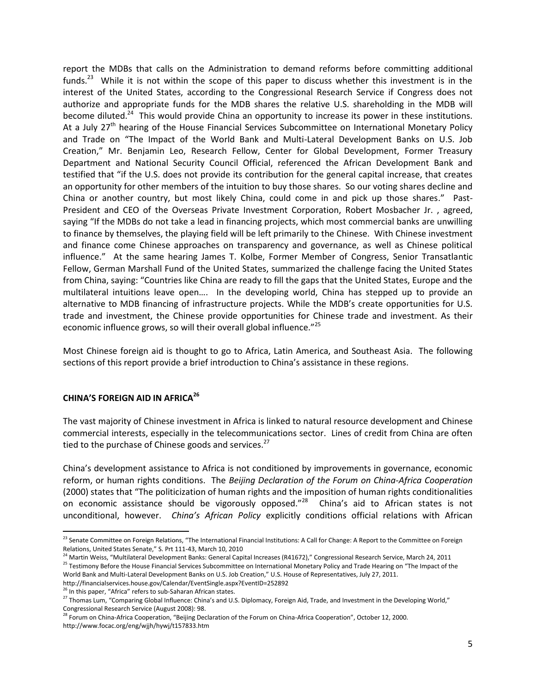report the MDBs that calls on the Administration to demand reforms before committing additional funds.<sup>23</sup> While it is not within the scope of this paper to discuss whether this investment is in the interest of the United States, according to the Congressional Research Service if Congress does not authorize and appropriate funds for the MDB shares the relative U.S. shareholding in the MDB will become diluted.<sup>24</sup> This would provide China an opportunity to increase its power in these institutions. At a July  $27<sup>th</sup>$  hearing of the House Financial Services Subcommittee on International Monetary Policy and Trade on "The Impact of the World Bank and Multi-Lateral Development Banks on U.S. Job Creation," Mr. Benjamin Leo, Research Fellow, Center for Global Development, Former Treasury Department and National Security Council Official, referenced the African Development Bank and testified that "if the U.S. does not provide its contribution for the general capital increase, that creates an opportunity for other members of the intuition to buy those shares. So our voting shares decline and China or another country, but most likely China, could come in and pick up those shares." Past-President and CEO of the Overseas Private Investment Corporation, Robert Mosbacher Jr. , agreed, saying "If the MDBs do not take a lead in financing projects, which most commercial banks are unwilling to finance by themselves, the playing field will be left primarily to the Chinese. With Chinese investment and finance come Chinese approaches on transparency and governance, as well as Chinese political influence." At the same hearing James T. Kolbe, Former Member of Congress, Senior Transatlantic Fellow, German Marshall Fund of the United States, summarized the challenge facing the United States from China, saying: "Countries like China are ready to fill the gaps that the United States, Europe and the multilateral intuitions leave open…. In the developing world, China has stepped up to provide an alternative to MDB financing of infrastructure projects. While the MDB's create opportunities for U.S. trade and investment, the Chinese provide opportunities for Chinese trade and investment. As their economic influence grows, so will their overall global influence."<sup>25</sup>

Most Chinese foreign aid is thought to go to Africa, Latin America, and Southeast Asia. The following sections of this report provide a brief introduction to China's assistance in these regions.

## **CHINA'S FOREIGN AID IN AFRICA<sup>26</sup>**

 $\overline{\phantom{a}}$ 

The vast majority of Chinese investment in Africa is linked to natural resource development and Chinese commercial interests, especially in the telecommunications sector. Lines of credit from China are often tied to the purchase of Chinese goods and services.<sup>27</sup>

China's development assistance to Africa is not conditioned by improvements in governance, economic reform, or human rights conditions. The *Beijing Declaration of the Forum on China-Africa Cooperation*  (2000) states that "The politicization of human rights and the imposition of human rights conditionalities on economic assistance should be vigorously opposed."<sup>28</sup> China's aid to African states is not unconditional, however. *China's African Policy* explicitly conditions official relations with African

<sup>&</sup>lt;sup>23</sup> Senate Committee on Foreign Relations, "The International Financial Institutions: A Call for Change: A Report to the Committee on Foreign Relations, United States Senate," S. Prt 111-43, March 10, 2010

<sup>&</sup>lt;sup>24</sup> Martin Weiss, "Multilateral Development Banks: General Capital Increases (R41672)," Congressional Research Service, March 24, 2011 <sup>25</sup> Testimony Before the House Financial Services Subcommittee on International Monetary Policy and Trade Hearing on "The Impact of the World Bank and Multi-Lateral Development Banks on U.S. Job Creation," U.S. House of Representatives, July 27, 2011.

http://financialservices.house.gov/Calendar/EventSingle.aspx?EventID=252892

<sup>&</sup>lt;sup>26</sup> In this paper, "Africa" refers to sub-Saharan African states.

<sup>&</sup>lt;sup>27</sup> Thomas Lum, "Comparing Global Influence: China's and U.S. Diplomacy, Foreign Aid, Trade, and Investment in the Developing World," Congressional Research Service (August 2008): 98.

<sup>&</sup>lt;sup>28</sup> Forum on China-Africa Cooperation, "Beijing Declaration of the Forum on China-Africa Cooperation", October 12, 2000. http://www.focac.org/eng/wjjh/hywj/t157833.htm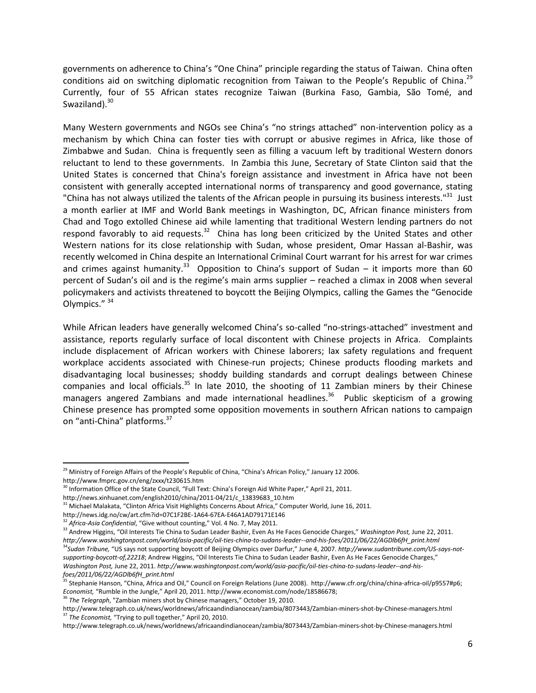governments on adherence to China's "One China" principle regarding the status of Taiwan. China often conditions aid on switching diplomatic recognition from Taiwan to the People's Republic of China.<sup>29</sup> Currently, four of 55 African states recognize Taiwan (Burkina Faso, Gambia, São Tomé, and Swaziland).<sup>30</sup>

Many Western governments and NGOs see China's "no strings attached" non-intervention policy as a mechanism by which China can foster ties with corrupt or abusive regimes in Africa, like those of Zimbabwe and Sudan. China is frequently seen as filling a vacuum left by traditional Western donors reluctant to lend to these governments. In Zambia this June, Secretary of State Clinton said that the United States is concerned that China's foreign assistance and investment in Africa have not been consistent with generally accepted international norms of transparency and good governance, stating "China has not always utilized the talents of the African people in pursuing its business interests."<sup>31</sup> Just a month earlier at IMF and World Bank meetings in Washington, DC, African finance ministers from Chad and Togo extolled Chinese aid while lamenting that traditional Western lending partners do not respond favorably to aid requests.<sup>32</sup> China has long been criticized by the United States and other Western nations for its close relationship with Sudan, whose president, Omar Hassan al-Bashir, was recently welcomed in China despite an International Criminal Court warrant for his arrest for war crimes and crimes against humanity.<sup>33</sup> Opposition to China's support of Sudan – it imports more than 60 percent of Sudan's oil and is the regime's main arms supplier – reached a climax in 2008 when several policymakers and activists threatened to boycott the Beijing Olympics, calling the Games the "Genocide Olympics." 34

While African leaders have generally welcomed China's so-called "no-strings-attached" investment and assistance, reports regularly surface of local discontent with Chinese projects in Africa. Complaints include displacement of African workers with Chinese laborers; lax safety regulations and frequent workplace accidents associated with Chinese-run projects; Chinese products flooding markets and disadvantaging local businesses; shoddy building standards and corrupt dealings between Chinese companies and local officials. $35$  In late 2010, the shooting of 11 Zambian miners by their Chinese managers angered Zambians and made international headlines.<sup>36</sup> Public skepticism of a growing Chinese presence has prompted some opposition movements in southern African nations to campaign on "anti-China" platforms.<sup>37</sup>

 $\overline{\phantom{a}}$ 

<sup>&</sup>lt;sup>29</sup> Ministry of Foreign Affairs of the People's Republic of China, "China's African Policy," January 12 2006. http://www.fmprc.gov.cn/eng/zxxx/t230615.htm

<sup>&</sup>lt;sup>30</sup> Information Office of the State Council, "Full Text: China's Foreign Aid White Paper," April 21, 2011.

http://news.xinhuanet.com/english2010/china/2011-04/21/c\_13839683\_10.htm

<sup>&</sup>lt;sup>31</sup> Michael Malakata, "Clinton Africa Visit Highlights Concerns About Africa," Computer World, June 16, 2011.

http://news.idg.no/cw/art.cfm?id=07C1F2BE-1A64-67EA-E46A1AD79171E146

<sup>&</sup>lt;sup>32</sup> Africa-Asia Confidential, "Give without counting," Vol. 4 No. 7, May 2011.

<sup>33</sup> Andrew Higgins, "Oil Interests Tie China to Sudan Leader Bashir, Even As He Faces Genocide Charges," *Washington Post,* June 22, 2011. *http://www.washingtonpost.com/world/asia-pacific/oil-ties-china-to-sudans-leader--and-his-foes/2011/06/22/AGDlb6fH\_print.html* <sup>34</sup>*Sudan Tribune,* "US says not supporting boycott of Beijing Olympics over Darfur," June 4, 2007. *http://www.sudantribune.com/US-says-notsupporting-boycott-of,22218*; Andrew Higgins, "Oil Interests Tie China to Sudan Leader Bashir, Even As He Faces Genocide Charges," *Washington Post,* June 22, 2011. *http://www.washingtonpost.com/world/asia-pacific/oil-ties-china-to-sudans-leader--and-hisfoes/2011/06/22/AGDlb6fH\_print.html*

<sup>&</sup>lt;sup>35</sup> Stephanie Hanson, "China, Africa and Oil," Council on Foreign Relations (June 2008). http://www.cfr.org/china/china-africa-oil/p9557#p6; *Economist,* "Rumble in the Jungle," April 20, 2011. http://www.economist.com/node/18586678;

<sup>36</sup> *The Telegraph*, "Zambian miners shot by Chinese managers," October 19, 2010.

http://www.telegraph.co.uk/news/worldnews/africaandindianocean/zambia/8073443/Zambian-miners-shot-by-Chinese-managers.html <sup>37</sup> The Economist, "Trying to pull together," April 20, 2010.

http://www.telegraph.co.uk/news/worldnews/africaandindianocean/zambia/8073443/Zambian-miners-shot-by-Chinese-managers.html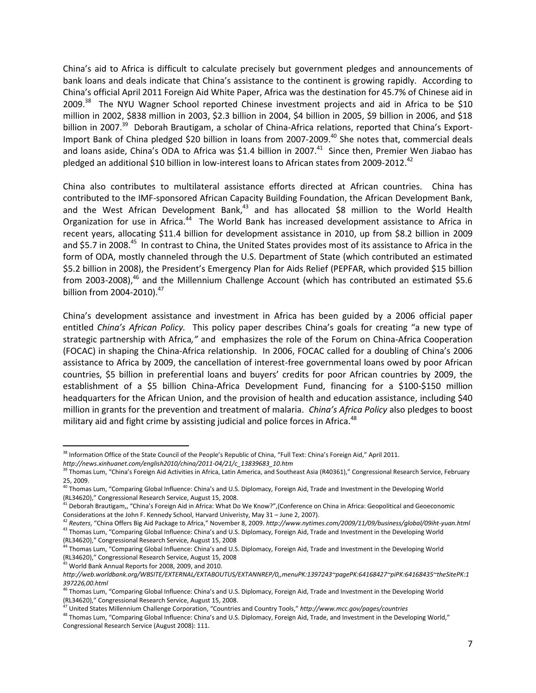China's aid to Africa is difficult to calculate precisely but government pledges and announcements of bank loans and deals indicate that China's assistance to the continent is growing rapidly. According to China's official April 2011 Foreign Aid White Paper, Africa was the destination for 45.7% of Chinese aid in 2009.<sup>38</sup> The NYU Wagner School reported Chinese investment projects and aid in Africa to be \$10 million in 2002, \$838 million in 2003, \$2.3 billion in 2004, \$4 billion in 2005, \$9 billion in 2006, and \$18 billion in 2007.<sup>39</sup> Deborah Brautigam, a scholar of China-Africa relations, reported that China's Export-Import Bank of China pledged \$20 billion in loans from 2007-2009.<sup>40</sup> She notes that, commercial deals and loans aside, China's ODA to Africa was \$1.4 billion in 2007. $^{41}$  Since then, Premier Wen Jiabao has pledged an additional \$10 billion in low-interest loans to African states from 2009-2012.<sup>42</sup>

China also contributes to multilateral assistance efforts directed at African countries. China has contributed to the IMF-sponsored African Capacity Building Foundation, the African Development Bank, and the West African Development Bank, $43$  and has allocated \$8 million to the World Health Organization for use in Africa.<sup>44</sup> The World Bank has increased development assistance to Africa in recent years, allocating \$11.4 billion for development assistance in 2010, up from \$8.2 billion in 2009 and \$5.7 in 2008.<sup>45</sup> In contrast to China, the United States provides most of its assistance to Africa in the form of ODA, mostly channeled through the U.S. Department of State (which contributed an estimated \$5.2 billion in 2008), the President's Emergency Plan for Aids Relief (PEPFAR, which provided \$15 billion from 2003-2008),<sup>46</sup> and the Millennium Challenge Account (which has contributed an estimated \$5.6 billion from 2004-2010). $^{47}$ 

China's development assistance and investment in Africa has been guided by a 2006 official paper entitled *China's African Policy.* This policy paper describes China's goals for creating "a new type of strategic partnership with Africa*,"* and emphasizes the role of the Forum on China-Africa Cooperation (FOCAC) in shaping the China-Africa relationship. In 2006, FOCAC called for a doubling of China's 2006 assistance to Africa by 2009, the cancellation of interest-free governmental loans owed by poor African countries, \$5 billion in preferential loans and buyers' credits for poor African countries by 2009, the establishment of a \$5 billion China-Africa Development Fund, financing for a \$100-\$150 million headquarters for the African Union, and the provision of health and education assistance, including \$40 million in grants for the prevention and treatment of malaria. *China's Africa Policy* also pledges to boost military aid and fight crime by assisting judicial and police forces in Africa. $48$ 

<sup>45</sup> World Bank Annual Reports for 2008, 2009, and 2010.

l <sup>38</sup> Information Office of the State Council of the People's Republic of China, "Full Text: China's Foreign Aid," April 2011.

*http://news.xinhuanet.com/english2010/china/2011-04/21/c\_13839683\_10.htm*

<sup>&</sup>lt;sup>39</sup> Thomas Lum, "China's Foreign Aid Activities in Africa, Latin America, and Southeast Asia (R40361)," Congressional Research Service, February 25, 2009.

<sup>&</sup>lt;sup>40</sup> Thomas Lum, "Comparing Global Influence: China's and U.S. Diplomacy, Foreign Aid, Trade and Investment in the Developing World (RL34620)," Congressional Research Service, August 15, 2008.

 $^{41}$  Deborah Brautigam,, "China's Foreign Aid in Africa: What Do We Know?",(Conference on China in Africa: Geopolitical and Geoeconomic Considerations at the John F. Kennedy School, Harvard Univeristy, May 31 – June 2, 2007).

<sup>42</sup> *Reuters*, "China Offers Big Aid Package to Africa," November 8, 2009. *http://www.nytimes.com/2009/11/09/business/global/09iht-yuan.html* <sup>43</sup> Thomas Lum, "Comparing Global Influence: China's and U.S. Diplomacy, Foreign Aid, Trade and Investment in the Developing World (RL34620)," Congressional Research Service, August 15, 2008

<sup>&</sup>lt;sup>44</sup> Thomas Lum, "Comparing Global Influence: China's and U.S. Diplomacy, Foreign Aid, Trade and Investment in the Developing World (RL34620)," Congressional Research Service, August 15, 2008

*http://web.worldbank.org/WBSITE/EXTERNAL/EXTABOUTUS/EXTANNREP/0,,menuPK:1397243~pagePK:64168427~piPK:64168435~theSitePK:1 397226,00.html*

<sup>&</sup>lt;sup>46</sup> Thomas Lum, "Comparing Global Influence: China's and U.S. Diplomacy, Foreign Aid, Trade and Investment in the Developing World (RL34620)," Congressional Research Service, August 15, 2008.

<sup>47</sup> United States Millennium Challenge Corporation, "Countries and Country Tools," *http://www.mcc.gov/pages/countries*

<sup>48</sup> Thomas Lum, "Comparing Global Influence: China's and U.S. Diplomacy, Foreign Aid, Trade, and Investment in the Developing World," Congressional Research Service (August 2008): 111.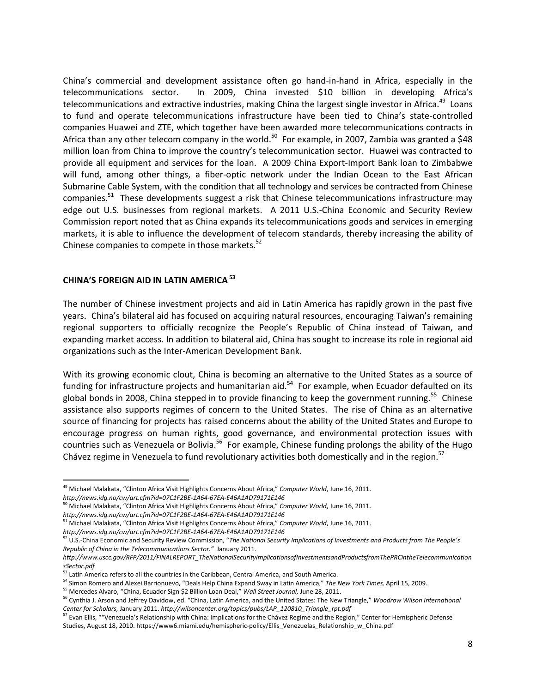China's commercial and development assistance often go hand-in-hand in Africa, especially in the telecommunications sector. In 2009, China invested \$10 billion in developing Africa's telecommunications and extractive industries, making China the largest single investor in Africa.<sup>49</sup> Loans to fund and operate telecommunications infrastructure have been tied to China's state-controlled companies Huawei and ZTE, which together have been awarded more telecommunications contracts in Africa than any other telecom company in the world.<sup>50</sup> For example, in 2007, Zambia was granted a \$48 million loan from China to improve the country's telecommunication sector. Huawei was contracted to provide all equipment and services for the loan. A 2009 China Export-Import Bank loan to Zimbabwe will fund, among other things, a fiber-optic network under the Indian Ocean to the East African Submarine Cable System, with the condition that all technology and services be contracted from Chinese companies.<sup>51</sup> These developments suggest a risk that Chinese telecommunications infrastructure may edge out U.S. businesses from regional markets. A 2011 U.S.-China Economic and Security Review Commission report noted that as China expands its telecommunications goods and services in emerging markets, it is able to influence the development of telecom standards, thereby increasing the ability of Chinese companies to compete in those markets.<sup>52</sup>

## **CHINA'S FOREIGN AID IN LATIN AMERICA<sup>53</sup>**

The number of Chinese investment projects and aid in Latin America has rapidly grown in the past five years. China's bilateral aid has focused on acquiring natural resources, encouraging Taiwan's remaining regional supporters to officially recognize the People's Republic of China instead of Taiwan, and expanding market access. In addition to bilateral aid, China has sought to increase its role in regional aid organizations such as the Inter-American Development Bank.

With its growing economic clout, China is becoming an alternative to the United States as a source of funding for infrastructure projects and humanitarian aid.<sup>54</sup> For example, when Ecuador defaulted on its global bonds in 2008, China stepped in to provide financing to keep the government running.<sup>55</sup> Chinese assistance also supports regimes of concern to the United States. The rise of China as an alternative source of financing for projects has raised concerns about the ability of the United States and Europe to encourage progress on human rights, good governance, and environmental protection issues with countries such as Venezuela or Bolivia.<sup>56</sup> For example, Chinese funding prolongs the ability of the Hugo Chávez regime in Venezuela to fund revolutionary activities both domestically and in the region.<sup>57</sup>

*http://news.idg.no/cw/art.cfm?id=07C1F2BE-1A64-67EA-E46A1AD79171E146*

 $\overline{\phantom{a}}$ 

<sup>49</sup> Michael Malakata, "Clinton Africa Visit Highlights Concerns About Africa," *Computer World*, June 16, 2011. *http://news.idg.no/cw/art.cfm?id=07C1F2BE-1A64-67EA-E46A1AD79171E146*

<sup>50</sup> Michael Malakata, "Clinton Africa Visit Highlights Concerns About Africa," *Computer World*, June 16, 2011.

*http://news.idg.no/cw/art.cfm?id=07C1F2BE-1A64-67EA-E46A1AD79171E146* <sup>51</sup> Michael Malakata, "Clinton Africa Visit Highlights Concerns About Africa," *Computer World*, June 16, 2011.

<sup>52</sup> U.S.-China Economic and Security Review Commission, "*The National Security Implications of Investments and Products from The People's Republic of China in the Telecommunications Sector."* January 2011.

*http://www.uscc.gov/RFP/2011/FINALREPORT\_TheNationalSecurityImplicationsofInvestmentsandProductsfromThePRCintheTelecommunication sSector.pdf*

<sup>&</sup>lt;sup>53</sup> Latin America refers to all the countries in the Caribbean, Central America, and South America.

<sup>54</sup> Simon Romero and Alexei Barrionuevo, "Deals Help China Expand Sway in Latin America," *The New York Times,* April 15, 2009.

<sup>55</sup> Mercedes Alvaro, "China, Ecuador Sign \$2 Billion Loan Deal," *Wall Street Journal,* June 28, 2011.

<sup>56</sup> Cynthia J. Arson and Jeffrey Davidow, ed. "China, Latin America, and the United States: The New Triangle," *Woodrow Wilson International Center for Scholars,* January 2011. *http://wilsoncenter.org/topics/pubs/LAP\_120810\_Triangle\_rpt.pdf*

<sup>&</sup>lt;sup>57</sup> Evan Ellis, ""Venezuela's Relationship with China: Implications for the Chávez Regime and the Region," Center for Hemispheric Defense Studies, August 18, 2010. https://www6.miami.edu/hemispheric-policy/Ellis\_Venezuelas\_Relationship\_w\_China.pdf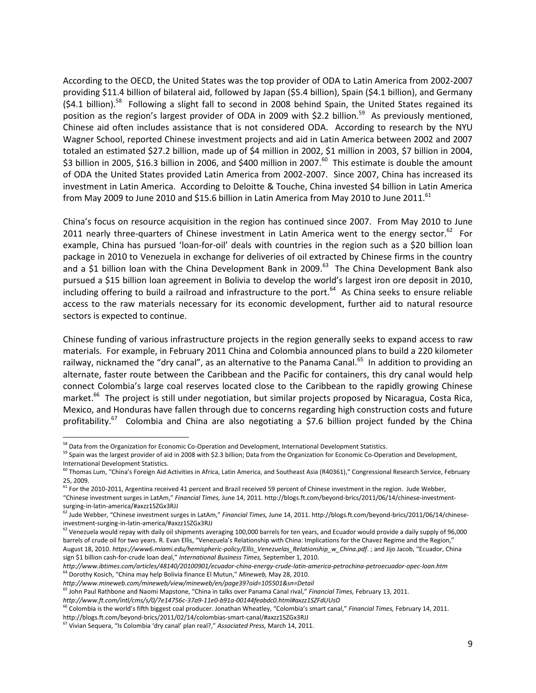According to the OECD, the United States was the top provider of ODA to Latin America from 2002-2007 providing \$11.4 billion of bilateral aid, followed by Japan (\$5.4 billion), Spain (\$4.1 billion), and Germany (\$4.1 billion).<sup>58</sup> Following a slight fall to second in 2008 behind Spain, the United States regained its position as the region's largest provider of ODA in 2009 with \$2.2 billion.<sup>59</sup> As previously mentioned, Chinese aid often includes assistance that is not considered ODA.According to research by the NYU Wagner School, reported Chinese investment projects and aid in Latin America between 2002 and 2007 totaled an estimated \$27.2 billion, made up of \$4 million in 2002, \$1 million in 2003, \$7 billion in 2004, \$3 billion in 2005, \$16.3 billion in 2006, and \$400 million in 2007.<sup>60</sup> This estimate is double the amount of ODA the United States provided Latin America from 2002-2007. Since 2007, China has increased its investment in Latin America. According to Deloitte & Touche, China invested \$4 billion in Latin America from May 2009 to June 2010 and \$15.6 billion in Latin America from May 2010 to June 2011.<sup>61</sup>

China's focus on resource acquisition in the region has continued since 2007. From May 2010 to June 2011 nearly three-quarters of Chinese investment in Latin America went to the energy sector.<sup>62</sup> For example, China has pursued 'loan-for-oil' deals with countries in the region such as a \$20 billion loan package in 2010 to Venezuela in exchange for deliveries of oil extracted by Chinese firms in the country and a \$1 billion loan with the China Development Bank in 2009.<sup>63</sup> The China Development Bank also pursued a \$15 billion loan agreement in Bolivia to develop the world's largest iron ore deposit in 2010, including offering to build a railroad and infrastructure to the port.<sup>64</sup> As China seeks to ensure reliable access to the raw materials necessary for its economic development, further aid to natural resource sectors is expected to continue.

Chinese funding of various infrastructure projects in the region generally seeks to expand access to raw materials. For example, in February 2011 China and Colombia announced plans to build a 220 kilometer railway, nicknamed the "dry canal", as an alternative to the Panama Canal.<sup>65</sup> In addition to providing an alternate, faster route between the Caribbean and the Pacific for containers, this dry canal would help connect Colombia's large coal reserves located close to the Caribbean to the rapidly growing Chinese market.<sup>66</sup> The project is still under negotiation, but similar projects proposed by Nicaragua, Costa Rica, Mexico, and Honduras have fallen through due to concerns regarding high construction costs and future profitability.<sup>67</sup> Colombia and China are also negotiating a \$7.6 billion project funded by the China

l

<sup>&</sup>lt;sup>58</sup> Data from the Organization for Economic Co-Operation and Development, International Development Statistics.

<sup>&</sup>lt;sup>59</sup> Spain was the largest provider of aid in 2008 with \$2.3 billion; Data from the Organization for Economic Co-Operation and Development, International Development Statistics.

<sup>&</sup>lt;sup>60</sup> Thomas Lum, "China's Foreign Aid Activities in Africa, Latin America, and Southeast Asia (R40361)," Congressional Research Service, February 25, 2009.

 $^{61}$  For the 2010-2011, Argentina received 41 percent and Brazil received 59 percent of Chinese investment in the region. Jude Webber, "Chinese investment surges in LatAm," *Financial Times,* June 14, 2011. http://blogs.ft.com/beyond-brics/2011/06/14/chinese-investmentsurging-in-latin-america/#axzz1SZGx3RJJ

<sup>62</sup> Jude Webber, "Chinese investment surges in LatAm," *Financial Times,* June 14, 2011. http://blogs.ft.com/beyond-brics/2011/06/14/chineseinvestment-surging-in-latin-america/#axzz1SZGx3RJJ

<sup>&</sup>lt;sup>63</sup> Venezuela would repay with daily oil shipments averaging 100,000 barrels for ten years, and Ecuador would provide a daily supply of 96,000 barrels of crude oil for two years. R. Evan Ellis, "Venezuela's Relationship with China: Implications for the Chavez Regime and the Region," August 18, 2010. *https://www6.miami.edu/hemispheric-policy/Ellis\_Venezuelas\_Relationship\_w\_China.pdf*. ; and Jijo Jacob, "Ecuador, China sign \$1 billion cash-for-crude loan deal," *International Business Times,* September 1, 2010.

*http://www.ibtimes.com/articles/48140/20100901/ecuador-china-energy-crude-latin-america-petrochina-petroecuador-opec-loan.htm* <sup>64</sup> Dorothy Kosich, "China may help Bolivia finance El Mutun," *Mineweb,* May 28, 2010.

*http://www.mineweb.com/mineweb/view/mineweb/en/page39?oid=105501&sn=Detail*

<sup>65</sup> John Paul Rathbone and Naomi Mapstone, "China in talks over Panama Canal rival," *Financial Times,* February 13, 2011.

*http://www.ft.com/intl/cms/s/0/7e14756c-37a9-11e0-b91a-00144feabdc0.html#axzz1SZFdUUsO*

<sup>66</sup> Colombia is the world's fifth biggest coal producer. Jonathan Wheatley, "Colombia's smart canal," *Financial Times,* February 14, 2011. http://blogs.ft.com/beyond-brics/2011/02/14/colombias-smart-canal/#axzz1SZGx3RJJ

<sup>67</sup> Vivian Sequera, "Is Colombia 'dry canal' plan real?," *Associated Press,* March 14, 2011.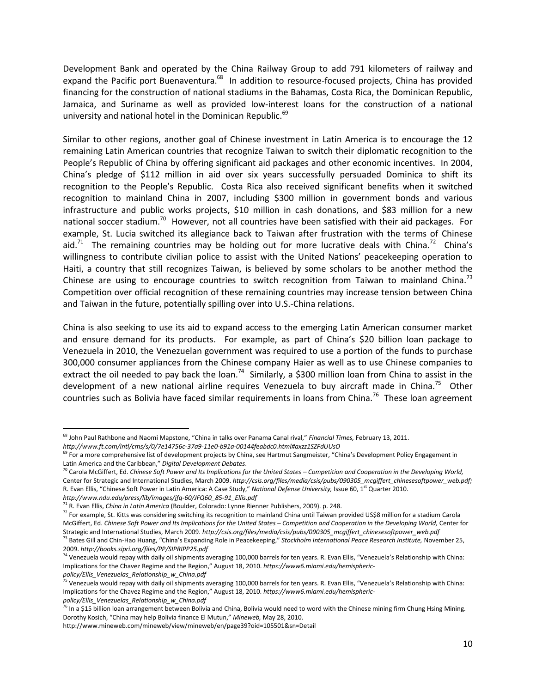Development Bank and operated by the China Railway Group to add 791 kilometers of railway and expand the Pacific port Buenaventura.<sup>68</sup> In addition to resource-focused projects, China has provided financing for the construction of national stadiums in the Bahamas, Costa Rica, the Dominican Republic, Jamaica, and Suriname as well as provided low-interest loans for the construction of a national university and national hotel in the Dominican Republic.<sup>69</sup>

Similar to other regions, another goal of Chinese investment in Latin America is to encourage the 12 remaining Latin American countries that recognize Taiwan to switch their diplomatic recognition to the People's Republic of China by offering significant aid packages and other economic incentives. In 2004, China's pledge of \$112 million in aid over six years successfully persuaded Dominica to shift its recognition to the People's Republic. Costa Rica also received significant benefits when it switched recognition to mainland China in 2007, including \$300 million in government bonds and various infrastructure and public works projects, \$10 million in cash donations, and \$83 million for a new national soccer stadium.<sup>70</sup> However, not all countries have been satisfied with their aid packages. For example, St. Lucia switched its allegiance back to Taiwan after frustration with the terms of Chinese aid.<sup>71</sup> The remaining countries may be holding out for more lucrative deals with China.<sup>72</sup> China's willingness to contribute civilian police to assist with the United Nations' peacekeeping operation to Haiti, a country that still recognizes Taiwan, is believed by some scholars to be another method the Chinese are using to encourage countries to switch recognition from Taiwan to mainland China.<sup>73</sup> Competition over official recognition of these remaining countries may increase tension between China and Taiwan in the future, potentially spilling over into U.S.-China relations.

China is also seeking to use its aid to expand access to the emerging Latin American consumer market and ensure demand for its products. For example, as part of China's \$20 billion loan package to Venezuela in 2010, the Venezuelan government was required to use a portion of the funds to purchase 300,000 consumer appliances from the Chinese company Haier as well as to use Chinese companies to extract the oil needed to pay back the loan.<sup>74</sup> Similarly, a \$300 million loan from China to assist in the development of a new national airline requires Venezuela to buy aircraft made in China.<sup>75</sup> Other countries such as Bolivia have faced similar requirements in loans from China.<sup>76</sup> These loan agreement

*policy/Ellis\_Venezuelas\_Relationship\_w\_China.pdf*

 $\overline{a}$ 

<sup>68</sup> John Paul Rathbone and Naomi Mapstone, "China in talks over Panama Canal rival," *Financial Times,* February 13, 2011.

*http://www.ft.com/intl/cms/s/0/7e14756c-37a9-11e0-b91a-00144feabdc0.html#axzz1SZFdUUsO*

<sup>&</sup>lt;sup>69</sup> For a more comprehensive list of development projects by China, see Hartmut Sangmeister, "China's Development Policy Engagement in Latin America and the Caribbean," *Digital Development Debates*.

<sup>&</sup>lt;sup>70</sup> Carola McGiffert, Ed. *Chinese Soft Power and Its Implications for the United States – Competition and Cooperation in the Developing World,* Center for Strategic and International Studies, March 2009. http://csis.org/files/media/csis/pubs/090305\_mcgiffert\_chinesesoftpower\_web.pdf; R. Evan Ellis, "Chinese Soft Power in Latin America: A Case Study," *National Defense University*, Issue 60, 1<sup>st</sup> Quarter 2010. *http://www.ndu.edu/press/lib/images/jfq-60/JFQ60\_85-91\_Ellis.pdf*

<sup>71</sup> R. Evan Ellis, *China in Latin America* (Boulder, Colorado: Lynne Rienner Publishers, 2009). p. 248.

 $^{72}$  For example, St. Kitts was considering switching its recognition to mainland China until Taiwan provided US\$8 million for a stadium Carola McGiffert, Ed. *Chinese Soft Power and Its Implications for the United States – Competition and Cooperation in the Developing World,* Center for Strategic and International Studies, March 2009. http://csis.org/files/media/csis/pubs/090305\_mcgiffert\_chinesesoftpower\_web.pdf <sup>73</sup> Bates Gill and Chin-Hao Huang, "China's Expanding Role in Peacekeeping," *Stockholm International Peace Research Institute,* November 25, 2009. *http://books.sipri.org/files/PP/SIPRIPP25.pdf*

<sup>&</sup>lt;sup>74</sup> Venezuela would repay with daily oil shipments averaging 100,000 barrels for ten years. R. Evan Ellis, "Venezuela's Relationship with China: Implications for the Chavez Regime and the Region," August 18, 2010. *https://www6.miami.edu/hemispheric-*

<sup>&</sup>lt;sup>75</sup> Venezuela would repay with daily oil shipments averaging 100,000 barrels for ten years. R. Evan Ellis, "Venezuela's Relationship with China: Implications for the Chavez Regime and the Region," August 18, 2010. *https://www6.miami.edu/hemisphericpolicy/Ellis\_Venezuelas\_Relationship\_w\_China.pdf*

 $^{76}$  In a \$15 billion loan arrangement between Bolivia and China, Bolivia would need to word with the Chinese mining firm Chung Hsing Mining. Dorothy Kosich, "China may help Bolivia finance El Mutun," *Mineweb,* May 28, 2010.

http://www.mineweb.com/mineweb/view/mineweb/en/page39?oid=105501&sn=Detail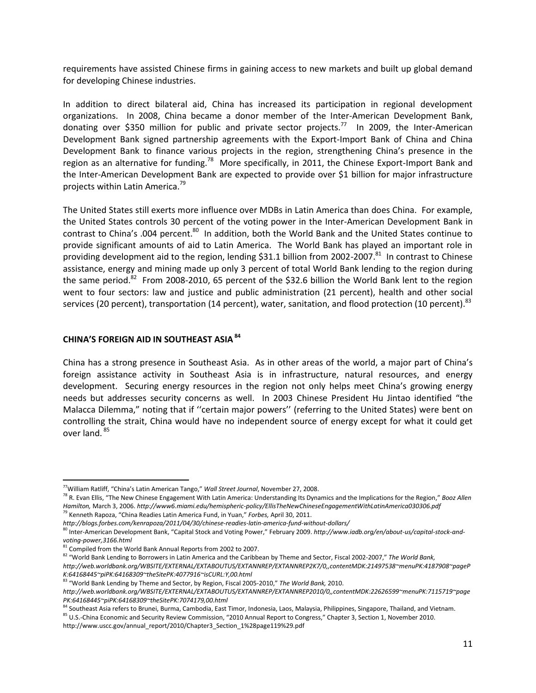requirements have assisted Chinese firms in gaining access to new markets and built up global demand for developing Chinese industries.

In addition to direct bilateral aid, China has increased its participation in regional development organizations. In 2008, China became a donor member of the Inter-American Development Bank, donating over \$350 million for public and private sector projects.<sup>77</sup> In 2009, the Inter-American Development Bank signed partnership agreements with the Export-Import Bank of China and China Development Bank to finance various projects in the region, strengthening China's presence in the region as an alternative for funding.<sup>78</sup> More specifically, in 2011, the Chinese Export-Import Bank and the Inter-American Development Bank are expected to provide over \$1 billion for major infrastructure projects within Latin America. 79

The United States still exerts more influence over MDBs in Latin America than does China. For example, the United States controls 30 percent of the voting power in the Inter-American Development Bank in contrast to China's .004 percent.<sup>80</sup> In addition, both the World Bank and the United States continue to provide significant amounts of aid to Latin America. The World Bank has played an important role in providing development aid to the region, lending \$31.1 billion from 2002-2007.<sup>81</sup> In contrast to Chinese assistance, energy and mining made up only 3 percent of total World Bank lending to the region during the same period.<sup>82</sup> From 2008-2010, 65 percent of the \$32.6 billion the World Bank lent to the region went to four sectors: law and justice and public administration (21 percent), health and other social services (20 percent), transportation (14 percent), water, sanitation, and flood protection (10 percent).  $^{83}$ 

## **CHINA'S FOREIGN AID IN SOUTHEAST ASIA<sup>84</sup>**

China has a strong presence in Southeast Asia. As in other areas of the world, a major part of China's foreign assistance activity in Southeast Asia is in infrastructure, natural resources, and energy development. Securing energy resources in the region not only helps meet China's growing energy needs but addresses security concerns as well. In 2003 Chinese President Hu Jintao identified "the Malacca Dilemma," noting that if ''certain major powers'' (referring to the United States) were bent on controlling the strait, China would have no independent source of energy except for what it could get over land. <sup>85</sup>

 $\overline{\phantom{a}}$ 

<sup>85</sup> U.S.-China Economic and Security Review Commission, "2010 Annual Report to Congress," Chapter 3, Section 1, November 2010.

http://www.uscc.gov/annual\_report/2010/Chapter3\_Section\_1%28page119%29.pdf

<sup>77</sup>William Ratliff, "China's Latin American Tango," *Wall Street Journal*, November 27, 2008.

<sup>78</sup> R. Evan Ellis, "The New Chinese Engagement With Latin America: Understanding Its Dynamics and the Implications for the Region," *Booz Allen Hamilton,* March 3, 2006. *http://www6.miami.edu/hemispheric-policy/EllisTheNewChineseEngagementWithLatinAmerica030306.pdf* <sup>79</sup> Kenneth Rapoza, "China Readies Latin America Fund, in Yuan," *Forbes,* April 30, 2011.

*http://blogs.forbes.com/kenrapoza/2011/04/30/chinese-readies-latin-america-fund-without-dollars/*

<sup>&</sup>lt;sup>80</sup> Inter-American Development Bank, "Capital Stock and Voting Power," February 2009. http://www.iadb.org/en/about-us/capital-stock-and*voting-power,3166.html*

<sup>81</sup> Compiled from the World Bank Annual Reports from 2002 to 2007.

<sup>82</sup> "World Bank Lending to Borrowers in Latin America and the Caribbean by Theme and Sector, Fiscal 2002-2007," *The World Bank, http://web.worldbank.org/WBSITE/EXTERNAL/EXTABOUTUS/EXTANNREP/EXTANNREP2K7/0,,contentMDK:21497538~menuPK:4187908~pageP K:64168445~piPK:64168309~theSitePK:4077916~isCURL:Y,00.html*

<sup>83</sup> "World Bank Lending by Theme and Sector, by Region, Fiscal 2005-2010," *The World Bank,* 2010.

*http://web.worldbank.org/WBSITE/EXTERNAL/EXTABOUTUS/EXTANNREP/EXTANNREP2010/0,,contentMDK:22626599~menuPK:7115719~page PK:64168445~piPK:64168309~theSitePK:7074179,00.html*

<sup>84</sup> Southeast Asia refers to Brunei, Burma, Cambodia, East Timor, Indonesia, Laos, Malaysia, Philippines, Singapore, Thailand, and Vietnam.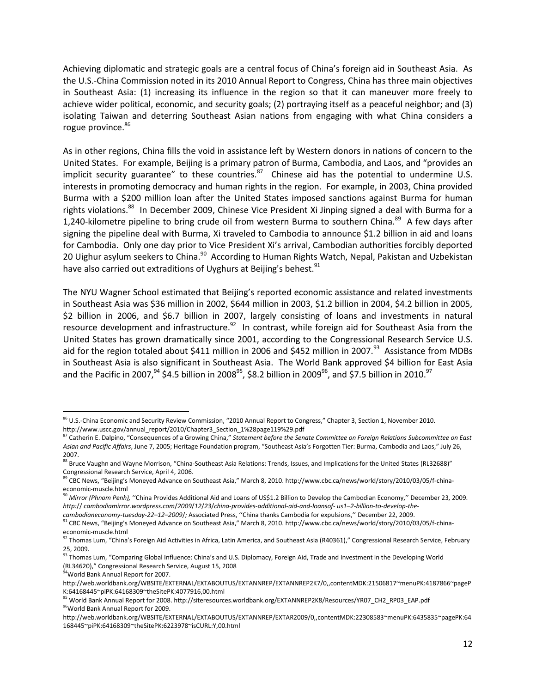Achieving diplomatic and strategic goals are a central focus of China's foreign aid in Southeast Asia. As the U.S.-China Commission noted in its 2010 Annual Report to Congress, China has three main objectives in Southeast Asia: (1) increasing its influence in the region so that it can maneuver more freely to achieve wider political, economic, and security goals; (2) portraying itself as a peaceful neighbor; and (3) isolating Taiwan and deterring Southeast Asian nations from engaging with what China considers a rogue province.<sup>86</sup>

As in other regions, China fills the void in assistance left by Western donors in nations of concern to the United States. For example, Beijing is a primary patron of Burma, Cambodia, and Laos, and "provides an implicit security guarantee" to these countries. $87$  Chinese aid has the potential to undermine U.S. interests in promoting democracy and human rights in the region. For example, in 2003, China provided Burma with a \$200 million loan after the United States imposed sanctions against Burma for human rights violations.<sup>88</sup> In December 2009, Chinese Vice President Xi Jinping signed a deal with Burma for a 1,240-kilometre pipeline to bring crude oil from western Burma to southern China.<sup>89</sup> A few days after signing the pipeline deal with Burma, Xi traveled to Cambodia to announce \$1.2 billion in aid and loans for Cambodia. Only one day prior to Vice President Xi's arrival, Cambodian authorities forcibly deported 20 Uighur asylum seekers to China.<sup>90</sup> According to Human Rights Watch, Nepal, Pakistan and Uzbekistan have also carried out extraditions of Uyghurs at Beijing's behest. $91$ 

The NYU Wagner School estimated that Beijing's reported economic assistance and related investments in Southeast Asia was \$36 million in 2002, \$644 million in 2003, \$1.2 billion in 2004, \$4.2 billion in 2005, \$2 billion in 2006, and \$6.7 billion in 2007, largely consisting of loans and investments in natural resource development and infrastructure.<sup>92</sup> In contrast, while foreign aid for Southeast Asia from the United States has grown dramatically since 2001, according to the Congressional Research Service U.S. aid for the region totaled about \$411 million in 2006 and \$452 million in 2007.<sup>93</sup> Assistance from MDBs in Southeast Asia is also significant in Southeast Asia. The World Bank approved \$4 billion for East Asia and the Pacific in 2007,  $94\,$  \$4.5 billion in 2008<sup>95</sup>, \$8.2 billion in 2009<sup>96</sup>, and \$7.5 billion in 2010.<sup>97</sup>

<sup>94</sup>World Bank Annual Report for 2007.

l

 $86$  U.S.-China Economic and Security Review Commission, "2010 Annual Report to Congress," Chapter 3, Section 1, November 2010. http://www.uscc.gov/annual\_report/2010/Chapter3\_Section\_1%28page119%29.pdf

<sup>87</sup> Catherin E. Dalpino, "Consequences of a Growing China," *Statement before the Senate Committee on Foreign Relations Subcommittee on East Asian and Pacific Affairs*, June 7, 2005; Heritage Foundation program, "Southeast Asia's Forgotten Tier: Burma, Cambodia and Laos," July 26, 2007.

<sup>88</sup> Bruce Vaughn and Wayne Morrison, "China-Southeast Asia Relations: Trends, Issues, and Implications for the United States (RL32688)" Congressional Research Service, April 4, 2006.

<sup>89</sup> CBC News, "Beijing's Moneyed Advance on Southeast Asia," March 8, 2010. http://www.cbc.ca/news/world/story/2010/03/05/f-chinaeconomic-muscle.html

<sup>90</sup> *Mirror (Phnom Penh),* ''China Provides Additional Aid and Loans of US\$1.2 Billion to Develop the Cambodian Economy,'' December 23, 2009. *http:*// *cambodiamirror.wordpress.com*/*2009*/*12*/*23*/*china-provides-additional-aid-and-loansof- us1–2-billion-to-develop-the-*

*cambodianeconomy-tuesday-22–12–2009*/*;* Associated Press, ''China thanks Cambodia for expulsions,'' December 22, 2009.

<sup>&</sup>lt;sup>91</sup> CBC News, "Beijing's Moneyed Advance on Southeast Asia," March 8, 2010. http://www.cbc.ca/news/world/story/2010/03/05/f-chinaeconomic-muscle.html

<sup>92</sup> Thomas Lum, "China's Foreign Aid Activities in Africa, Latin America, and Southeast Asia (R40361)," Congressional Research Service, February 25, 2009.

<sup>93</sup> Thomas Lum, "Comparing Global Influence: China's and U.S. Diplomacy, Foreign Aid, Trade and Investment in the Developing World (RL34620)," Congressional Research Service, August 15, 2008

http://web.worldbank.org/WBSITE/EXTERNAL/EXTABOUTUS/EXTANNREP/EXTANNREP2K7/0,,contentMDK:21506817~menuPK:4187866~pageP K:64168445~piPK:64168309~theSitePK:4077916,00.html

<sup>95</sup> World Bank Annual Report for 2008. http://siteresources.worldbank.org/EXTANNREP2K8/Resources/YR07\_CH2\_RP03\_EAP.pdf 96World Bank Annual Report for 2009.

http://web.worldbank.org/WBSITE/EXTERNAL/EXTABOUTUS/EXTANNREP/EXTAR2009/0,,contentMDK:22308583~menuPK:6435835~pagePK:64 168445~piPK:64168309~theSitePK:6223978~isCURL:Y,00.html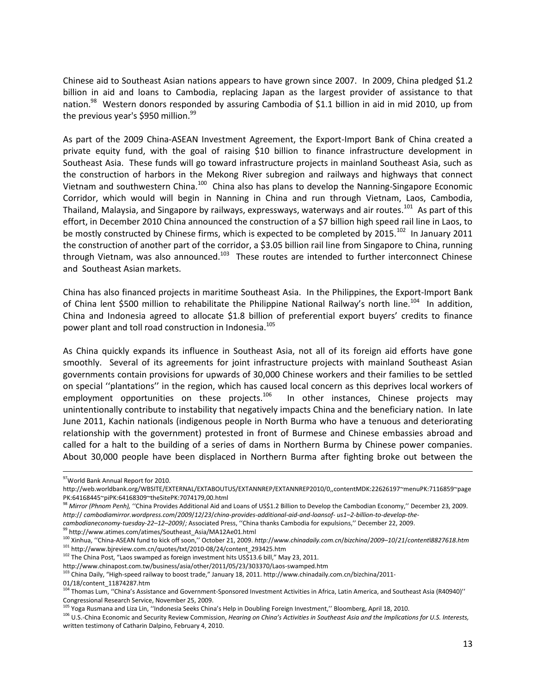Chinese aid to Southeast Asian nations appears to have grown since 2007. In 2009, China pledged \$1.2 billion in aid and loans to Cambodia, replacing Japan as the largest provider of assistance to that nation.<sup>98</sup> Western donors responded by assuring Cambodia of \$1.1 billion in aid in mid 2010, up from the previous year's \$950 million.<sup>99</sup>

As part of the 2009 China-ASEAN Investment Agreement, the Export-Import Bank of China created a private equity fund, with the goal of raising \$10 billion to finance infrastructure development in Southeast Asia. These funds will go toward infrastructure projects in mainland Southeast Asia, such as the construction of harbors in the Mekong River subregion and railways and highways that connect Vietnam and southwestern China.<sup>100</sup> China also has plans to develop the Nanning-Singapore Economic Corridor, which would will begin in Nanning in China and run through Vietnam, Laos, Cambodia, Thailand, Malaysia, and Singapore by railways, expressways, waterways and air routes.<sup>101</sup> As part of this effort, in December 2010 China announced the construction of a \$7 billion high speed rail line in Laos, to be mostly constructed by Chinese firms, which is expected to be completed by 2015.<sup>102</sup> In January 2011 the construction of another part of the corridor, a \$3.05 billion rail line from Singapore to China, running through Vietnam, was also announced.<sup>103</sup> These routes are intended to further interconnect Chinese and Southeast Asian markets.

China has also financed projects in maritime Southeast Asia. In the Philippines, the Export-Import Bank of China lent \$500 million to rehabilitate the Philippine National Railway's north line.<sup>104</sup> In addition, China and Indonesia agreed to allocate \$1.8 billion of preferential export buyers' credits to finance power plant and toll road construction in Indonesia.<sup>105</sup>

As China quickly expands its influence in Southeast Asia, not all of its foreign aid efforts have gone smoothly. Several of its agreements for joint infrastructure projects with mainland Southeast Asian governments contain provisions for upwards of 30,000 Chinese workers and their families to be settled on special ''plantations'' in the region, which has caused local concern as this deprives local workers of employment opportunities on these projects.<sup>106</sup> In other instances, Chinese projects may unintentionally contribute to instability that negatively impacts China and the beneficiary nation. In late June 2011, Kachin nationals (indigenous people in North Burma who have a tenuous and deteriorating relationship with the government) protested in front of Burmese and Chinese embassies abroad and called for a halt to the building of a series of dams in Northern Burma by Chinese power companies. About 30,000 people have been displaced in Northern Burma after fighting broke out between the

l

<sup>99</sup> http://www.atimes.com/atimes/Southeast\_Asia/MA12Ae01.html

<sup>102</sup> The China Post, "Laos swamped as foreign investment hits US\$13.6 bill," May 23, 2011.

http://www.chinapost.com.tw/business/asia/other/2011/05/23/303370/Laos-swamped.htm

<sup>105</sup> Yoga Rusmana and Liza Lin, "Indonesia Seeks China's Help in Doubling Foreign Investment," Bloomberg, April 18, 2010.

<sup>106</sup> U.S.-China Economic and Security Review Commission, *Hearing on China's Activities in Southeast Asia and the Implications for U.S. Interests,*  written testimony of Catharin Dalpino, February 4, 2010.

<sup>97</sup> World Bank Annual Report for 2010.

http://web.worldbank.org/WBSITE/EXTERNAL/EXTABOUTUS/EXTANNREP/EXTANNREP2010/0,,contentMDK:22626197~menuPK:7116859~page PK:64168445~piPK:64168309~theSitePK:7074179,00.html

<sup>98</sup> *Mirror (Phnom Penh),* ''China Provides Additional Aid and Loans of US\$1.2 Billion to Develop the Cambodian Economy,'' December 23, 2009. *http:*// *cambodiamirror.wordpress.com*/*2009*/*12*/*23*/*china-provides-additional-aid-and-loansof- us1–2-billion-to-develop-the-*

*cambodianeconomy-tuesday-22–12–2009*/*;* Associated Press, ''China thanks Cambodia for expulsions,'' December 22, 2009.

<sup>100</sup> Xinhua, ''China-ASEAN fund to kick off soon,'' October 21, 2009. *http:*//*www.chinadaily.com.cn*/*bizchina*/*2009–10*/*21*/*content*l*8827618.htm*  $101$  http://www.bjreview.com.cn/quotes/txt/2010-08/24/content\_293425.htm

<sup>&</sup>lt;sup>103</sup> China Daily, "High-speed railway to boost trade," January 18, 2011. http://www.chinadaily.com.cn/bizchina/2011-01/18/content\_11874287.htm

<sup>&</sup>lt;sup>104</sup> Thomas Lum, "China's Assistance and Government-Sponsored Investment Activities in Africa, Latin America, and Southeast Asia (R40940)" Congressional Research Service, November 25, 2009.